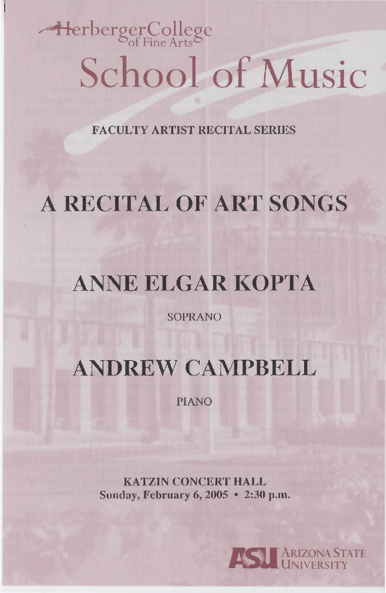# $-$ HerbergerCollege School of Music

FACULTY ARTIST RECITAL SERIES

## A RECITAL OF ART SONGS

## ANNE ELGAR KOPTA

SOPRANO

ANDREW CAMPBELL

PIANO

KATZIN CONCERT HALL Sunday, February 6, 2005 • 2:30 p.m.

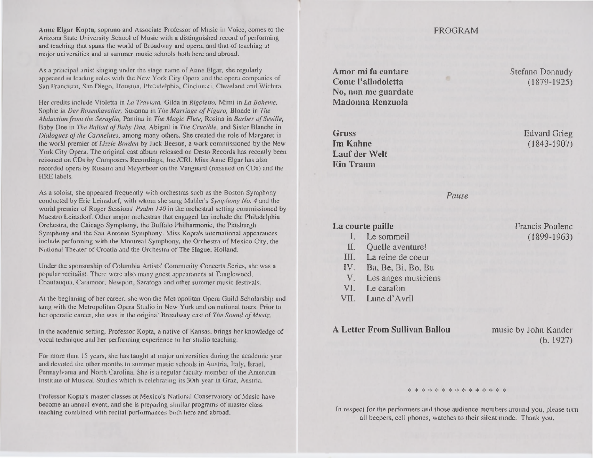**Anne Elgar Kopta, soprano and Associate Professor of Music in Voice, comes to the PROGRAM** Arizona State University School of Music with a distinguished record of performing and teaching that spans the world of Broadway and opera, and that of teaching at major universities and at summer music schools both here and abroad.

As a principal artist singing under the stage name of Anne Elgar, she regularly appeared in leading roles with the New York City Opera and the opera companies of San Francisco, San Diego, Houston, Philadelphia, Cincinnati, Cleveland and Wichita.

Her credits include Violetta in *La Traviata,* Gilda in *Rigoletto,* Mimi in *La Boheme,* Sophie in *Der Rosenkavalier,* Susanna in *The Marriage of Figaro,* Blonde in *The Abduction front the Seraglio,* Pamina in *The Magic Flute,* Rosina in *Barber of Seville,* Baby Doe in *The Ballad of Baby Doe,* Abigail in *The Crucible,* and Sister Blanche in *Dialogues of the Carmelites,* among many others. She created the role of Margaret in the world premier of *Lizzie Borden* by Jack Beeson, a work commissioned by the New York City Opera. The original cast album released on Desto Records has recently been reissued on CDs by Composers Recordings, Inc./CRI. Miss Anne Elgar has also recorded opera by Rossini and Meyerbeer on the Vanguard (reissued on CDs) and the HRE labels.

As a soloist, she appeared frequently with orchestras such as the Boston Symphony conducted by Eric Leinsdorf, *with* whom she sang Mahler's *Symphony No. 4* and the world premier of Roger Sessions' *Psalm 140 in the* orchestral setting commissioned by Maestro Leinsdorf. Other major orchestras that engaged her include the Philadelphia Orchestra, the Chicago Symphony, the Buffalo Philharmonic, the Pittsburgh Symphony and the San Antonio Symphony. Miss Kopta's international appearances include performing with the Montreal Symphony, the Orchestra of Mexico City, the National Theater of Croatia and the Orchestra of The Hague, Holland.

Under the sponsorship of Columbia Artists' Community Concerts Series, she was *a* popular recitalist. There were also many guest appearances at Tanglewood, Chautauqua, Caramoor, Newport, Saratoga and other summer music festivals.

At the beginning of her career, she won the Metropolitan Opera Guild Scholarship and sang with the Metropolitan Opera Studio in New York and on national tours. Prior to her operatic career, she was in the original Broadway cast of *The Sound of Music.*

In the academic setting, Professor Kopta, a native of Kansas, brings her knowledge of vocal technique and her performing experience to her studio teaching.

For more than 15 years, she has taught at major universities during the academic year and devoted the other months to summer music schools in Austria, Italy, Israel, Pennsylvania and North Carolina. She is a regular faculty member of the American Institute of Musical Studies which is celebrating its 30th year in Graz, Austria.

Professor Kopta's master classes at Mexico's National Conservatory of Music have become an annual event, and she is preparing similar programs of master class teaching combined with recital performances both here and abroad.

**Amor mi fa cantare** Stefano Donaudy **Come l'allodoletta** (1879-1925) **No, non me guardate Madonna Renzuola**

**Gruss** Edvard Grieg **Im Kahne** (1843-1907) **Lauf der Welt Ein Traum**

Francis Poulenc (1899-1963)

*Pause*

#### **La courte paille**

- Le sommeil  $\mathbf{L}$
- II. Quelle aventure!
- III. La reine de coeur
- IV. Ba, Be, Bi, Bo, Bu
- $V_{-}$ Les anges musiciens
- Le carafon VI.
- VII. Lune d'Avril

### A Letter From Sullivan Ballou music by John Kander

(b. 1927)

#### \* \* \* \* \* \* \* \* \* \* \* \* \* \*

In respect for the performers and those audience members around you, please turn all beepers, cell phones, watches to their silent mode. Thank you.